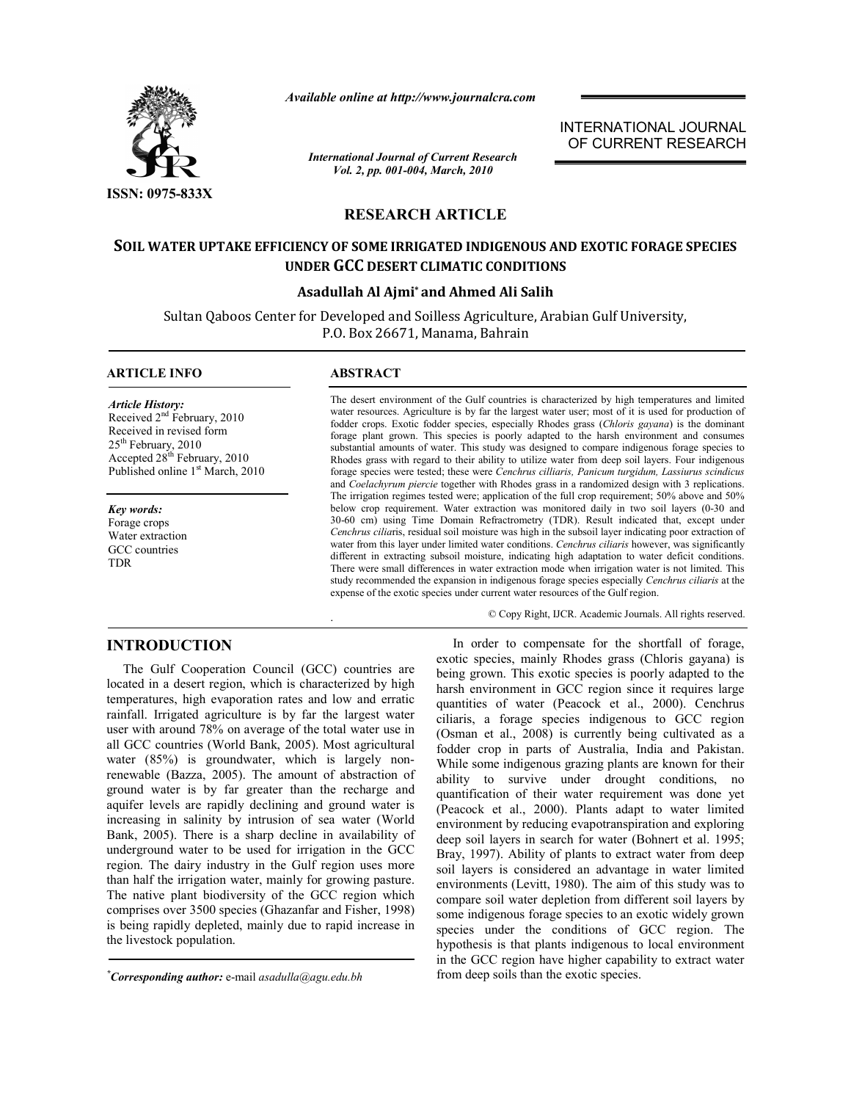

*Available online at http://www.journalcra.com*

*International Journal of Current Research Vol. 2, pp. 001-004, March, 2010*

INTERNATIONAL JOURNAL OF CURRENT RESEARCH

# **RESEARCH ARTICLE**

# **SOIL WATER UPTAKE EFFICIENCY OF SOME IRRIGATED INDIGENOUS AND EXOTIC FORAGE SPECIES UNDER GCC DESERT CLIMATIC CONDITIONS**

## **Asadullah Al Ajmi\* and Ahmed Ali Salih**

Sultan Qaboos Center for Developed and Soilless Agriculture, Arabian Gulf University, P.O. Box 26671, Manama, Bahrain

## **ARTICLE INFO ABSTRACT**

*Article History:* Received 2<sup>nd</sup> February, 2010 Received in revised form 25<sup>th</sup> February, 2010 Accepted 28th February, 2010 Published online 1<sup>st</sup> March, 2010

*Key words:* Forage crops Water extraction GCC countries TDR

.

The desert environment of the Gulf countries is characterized by high temperatures and limited water resources. Agriculture is by far the largest water user; most of it is used for production of fodder crops. Exotic fodder species, especially Rhodes grass (*Chloris gayana*) is the dominant forage plant grown. This species is poorly adapted to the harsh environment and consumes substantial amounts of water. This study was designed to compare indigenous forage species to Rhodes grass with regard to their ability to utilize water from deep soil layers. Four indigenous forage species were tested; these were *Cenchrus cilliaris, Panicum turgidum, Lassiurus scindicus*  and *Coelachyrum piercie* together with Rhodes grass in a randomized design with 3 replications. The irrigation regimes tested were; application of the full crop requirement; 50% above and 50% below crop requirement. Water extraction was monitored daily in two soil layers (0-30 and 30-60 cm) using Time Domain Refractrometry (TDR). Result indicated that, except under *Cenchrus cilia*ris, residual soil moisture was high in the subsoil layer indicating poor extraction of water from this layer under limited water conditions. *Cenchrus ciliaris* however, was significantly different in extracting subsoil moisture, indicating high adaptation to water deficit conditions. There were small differences in water extraction mode when irrigation water is not limited. This study recommended the expansion in indigenous forage species especially *Cenchrus ciliaris* at the expense of the exotic species under current water resources of the Gulf region.

© Copy Right, IJCR. Academic Journals. All rights reserved.

# **INTRODUCTION**

 The Gulf Cooperation Council (GCC) countries are located in a desert region, which is characterized by high temperatures, high evaporation rates and low and erratic rainfall. Irrigated agriculture is by far the largest water user with around 78% on average of the total water use in all GCC countries (World Bank, 2005). Most agricultural water (85%) is groundwater, which is largely nonrenewable (Bazza, 2005). The amount of abstraction of ground water is by far greater than the recharge and aquifer levels are rapidly declining and ground water is increasing in salinity by intrusion of sea water (World Bank, 2005). There is a sharp decline in availability of underground water to be used for irrigation in the GCC region. The dairy industry in the Gulf region uses more than half the irrigation water, mainly for growing pasture. The native plant biodiversity of the GCC region which comprises over 3500 species (Ghazanfar and Fisher, 1998) is being rapidly depleted, mainly due to rapid increase in the livestock population.

 In order to compensate for the shortfall of forage, exotic species, mainly Rhodes grass (Chloris gayana) is being grown. This exotic species is poorly adapted to the harsh environment in GCC region since it requires large quantities of water (Peacock et al., 2000). Cenchrus ciliaris, a forage species indigenous to GCC region (Osman et al., 2008) is currently being cultivated as a fodder crop in parts of Australia, India and Pakistan. While some indigenous grazing plants are known for their ability to survive under drought conditions, no quantification of their water requirement was done yet (Peacock et al., 2000). Plants adapt to water limited environment by reducing evapotranspiration and exploring deep soil layers in search for water (Bohnert et al. 1995; Bray, 1997). Ability of plants to extract water from deep soil layers is considered an advantage in water limited environments (Levitt, 1980). The aim of this study was to compare soil water depletion from different soil layers by some indigenous forage species to an exotic widely grown species under the conditions of GCC region. The hypothesis is that plants indigenous to local environment in the GCC region have higher capability to extract water from deep soils than the exotic species.

*<sup>\*</sup> Corresponding author:* e-mail *asadulla@agu.edu.bh*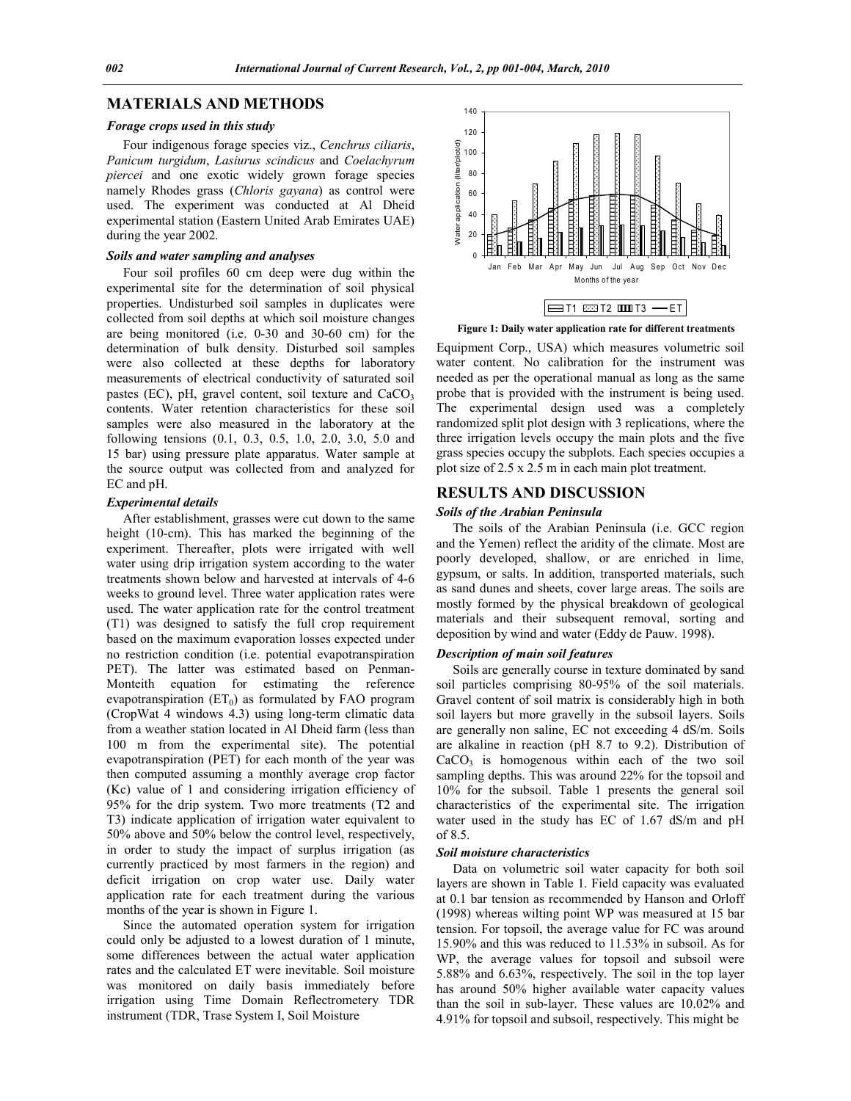# **MATERIALS AND METHODS**

#### *Forage crops used in this study*

 Four indigenous forage species viz., *Cenchrus ciliaris*, *Panicum turgidum*, *Lasiurus scindicus* and *Coelachyrum piercei* and one exotic widely grown forage species namely Rhodes grass (*Chloris gayana*) as control were used. The experiment was conducted at Al Dheid experimental station (Eastern United Arab Emirates UAE) during the year 2002.

#### *Soils and water sampling and analyses*

 Four soil profiles 60 cm deep were dug within the experimental site for the determination of soil physical properties. Undisturbed soil samples in duplicates were collected from soil depths at which soil moisture changes are being monitored (i.e. 0-30 and 30-60 cm) for the determination of bulk density. Disturbed soil samples were also collected at these depths for laboratory measurements of electrical conductivity of saturated soil pastes (EC), pH, gravel content, soil texture and  $CaCO<sub>3</sub>$ contents. Water retention characteristics for these soil samples were also measured in the laboratory at the following tensions (0.1, 0.3, 0.5, 1.0, 2.0, 3.0, 5.0 and 15 bar) using pressure plate apparatus. Water sample at the source output was collected from and analyzed for EC and pH.

### *Experimental details*

 After establishment, grasses were cut down to the same height (10-cm). This has marked the beginning of the experiment. Thereafter, plots were irrigated with well water using drip irrigation system according to the water treatments shown below and harvested at intervals of 4-6 weeks to ground level. Three water application rates were used. The water application rate for the control treatment (T1) was designed to satisfy the full crop requirement based on the maximum evaporation losses expected under no restriction condition (i.e. potential evapotranspiration PET). The latter was estimated based on Penman-Monteith equation for estimating the reference evapotranspiration  $(ET_0)$  as formulated by FAO program (CropWat 4 windows 4.3) using long-term climatic data from a weather station located in Al Dheid farm (less than 100 m from the experimental site). The potential evapotranspiration (PET) for each month of the year was then computed assuming a monthly average crop factor (Kc) value of 1 and considering irrigation efficiency of 95% for the drip system. Two more treatments (T2 and T3) indicate application of irrigation water equivalent to 50% above and 50% below the control level, respectively, in order to study the impact of surplus irrigation (as currently practiced by most farmers in the region) and deficit irrigation on crop water use. Daily water application rate for each treatment during the various months of the year is shown in Figure 1.

 Since the automated operation system for irrigation could only be adjusted to a lowest duration of 1 minute, some differences between the actual water application rates and the calculated ET were inevitable. Soil moisture was monitored on daily basis immediately before irrigation using Time Domain Reflectrometery TDR instrument (TDR, Trase System I, Soil Moisture



**Figure 1: Daily water application rate for different treatments**

Equipment Corp., USA) which measures volumetric soil water content. No calibration for the instrument was needed as per the operational manual as long as the same probe that is provided with the instrument is being used. The experimental design used was a completely randomized split plot design with 3 replications, where the three irrigation levels occupy the main plots and the five grass species occupy the subplots. Each species occupies a plot size of 2.5 x 2.5 m in each main plot treatment.

#### **RESULTS AND DISCUSSION**

#### *Soils of the Arabian Peninsula*

 The soils of the Arabian Peninsula (i.e. GCC region and the Yemen) reflect the aridity of the climate. Most are poorly developed, shallow, or are enriched in lime, gypsum, or salts. In addition, transported materials, such as sand dunes and sheets, cover large areas. The soils are mostly formed by the physical breakdown of geological materials and their subsequent removal, sorting and deposition by wind and water (Eddy de Pauw. 1998).

#### *Description of main soil features*

 Soils are generally course in texture dominated by sand soil particles comprising 80-95% of the soil materials. Gravel content of soil matrix is considerably high in both soil layers but more gravelly in the subsoil layers. Soils are generally non saline, EC not exceeding 4 dS/m. Soils are alkaline in reaction (pH 8.7 to 9.2). Distribution of  $CaCO<sub>3</sub>$  is homogenous within each of the two soil sampling depths. This was around 22% for the topsoil and 10% for the subsoil. Table 1 presents the general soil characteristics of the experimental site. The irrigation water used in the study has EC of 1.67 dS/m and pH of 8.5.

#### *Soil moisture characteristics*

 Data on volumetric soil water capacity for both soil layers are shown in Table 1. Field capacity was evaluated at 0.1 bar tension as recommended by Hanson and Orloff (1998) whereas wilting point WP was measured at 15 bar tension. For topsoil, the average value for FC was around 15.90% and this was reduced to 11.53% in subsoil. As for WP, the average values for topsoil and subsoil were 5.88% and 6.63%, respectively. The soil in the top layer has around 50% higher available water capacity values than the soil in sub-layer. These values are 10.02% and 4.91% for topsoil and subsoil, respectively. This might be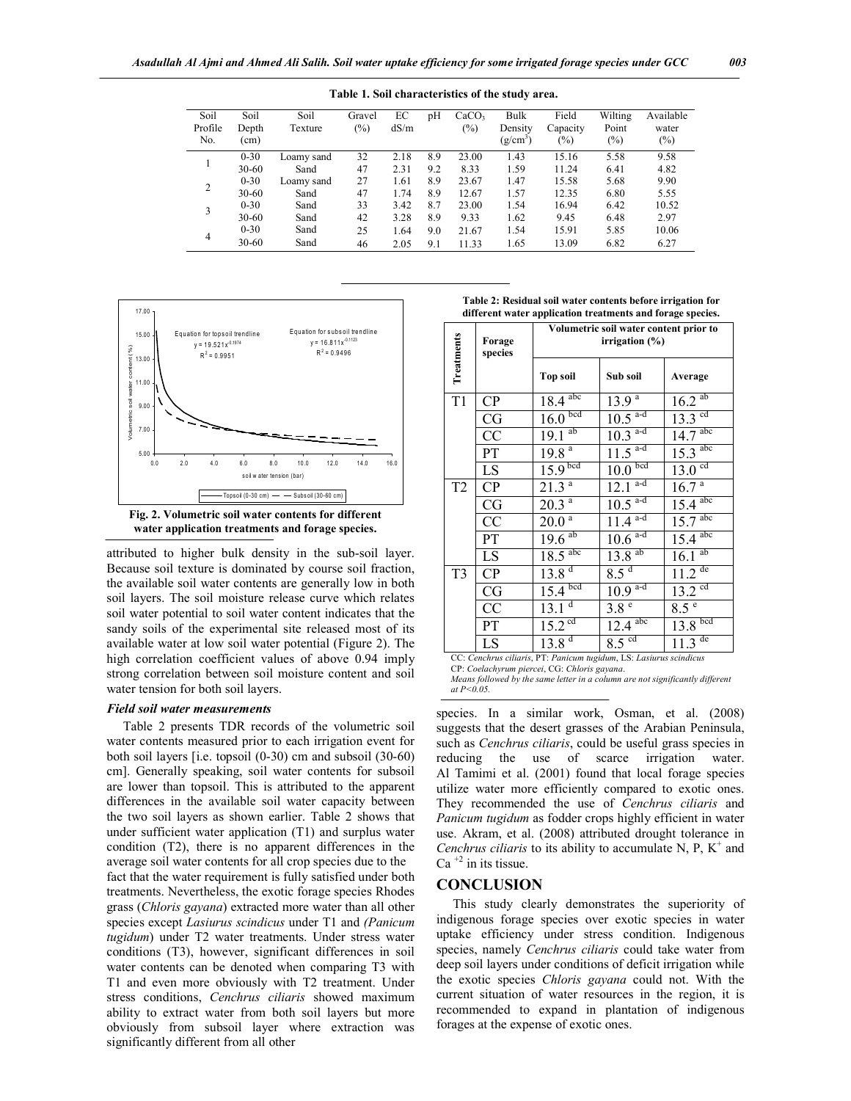| Soil<br>Profile<br>No. | Soil<br>Depth<br>(cm) | Soil<br>Texture | Gravel<br>$(\%)$ | EС<br>dS/m | pH  | CaCO <sub>3</sub><br>$(\%)$ | Bulk<br>Density<br>$(g/cm^3)$ | Field<br>Capacity<br>$(\%)$ | Wilting<br>Point<br>$(\%)$ | Available<br>water<br>$(\%)$ |
|------------------------|-----------------------|-----------------|------------------|------------|-----|-----------------------------|-------------------------------|-----------------------------|----------------------------|------------------------------|
|                        | $0 - 30$              | Loamy sand      | 32               | 2.18       | 8.9 | 23.00                       | 1.43                          | 15.16                       | 5.58                       | 9.58                         |
|                        | $30 - 60$             | Sand            | 47               | 2.31       | 9.2 | 8.33                        | 1.59                          | 11.24                       | 6.41                       | 4.82                         |
| 2                      | $0 - 30$              | Loamy sand      | 27               | 1.61       | 8.9 | 23.67                       | 1.47                          | 15.58                       | 5.68                       | 9.90                         |
|                        | $30 - 60$             | Sand            | 47               | 1.74       | 8.9 | 12.67                       | 1.57                          | 12.35                       | 6.80                       | 5.55                         |
| 3                      | $0 - 30$              | Sand            | 33               | 3.42       | 8.7 | 23.00                       | 1.54                          | 16.94                       | 6.42                       | 10.52                        |
|                        | $30 - 60$             | Sand            | 42               | 3.28       | 8.9 | 9.33                        | 1.62                          | 9.45                        | 6.48                       | 2.97                         |
| $\overline{4}$         | $0 - 30$              | Sand            | 25               | 1.64       | 9.0 | 21.67                       | 1.54                          | 15.91                       | 5.85                       | 10.06                        |
|                        | $30 - 60$             | Sand            | 46               | 2.05       | 9.1 | 11.33                       | 1.65                          | 13.09                       | 6.82                       | 6.27                         |

**Table 1. Soil characteristics of the study area.**





attributed to higher bulk density in the sub-soil layer. Because soil texture is dominated by course soil fraction, the available soil water contents are generally low in both soil layers. The soil moisture release curve which relates soil water potential to soil water content indicates that the sandy soils of the experimental site released most of its available water at low soil water potential (Figure 2). The high correlation coefficient values of above 0.94 imply strong correlation between soil moisture content and soil water tension for both soil layers.

### *Field soil water measurements*

 Table 2 presents TDR records of the volumetric soil water contents measured prior to each irrigation event for both soil layers [i.e. topsoil (0-30) cm and subsoil (30-60) cm]. Generally speaking, soil water contents for subsoil are lower than topsoil. This is attributed to the apparent differences in the available soil water capacity between the two soil layers as shown earlier. Table 2 shows that under sufficient water application (T1) and surplus water condition (T2), there is no apparent differences in the average soil water contents for all crop species due to the fact that the water requirement is fully satisfied under both treatments. Nevertheless, the exotic forage species Rhodes grass (*Chloris gayana*) extracted more water than all other species except *Lasiurus scindicus* under T1 and *(Panicum tugidum*) under T2 water treatments. Under stress water conditions (T3), however, significant differences in soil water contents can be denoted when comparing T3 with T1 and even more obviously with T2 treatment. Under stress conditions, *Cenchrus ciliaris* showed maximum ability to extract water from both soil layers but more obviously from subsoil layer where extraction was significantly different from all other

**Table 2: Residual soil water contents before irrigation for different water application treatments and forage species.**

| Treatments                                                         | Forage<br>species | Volumetric soil water content prior to<br>irrigation $(\%)$ |                       |                       |  |  |  |  |
|--------------------------------------------------------------------|-------------------|-------------------------------------------------------------|-----------------------|-----------------------|--|--|--|--|
|                                                                    |                   | <b>Top soil</b>                                             | Sub soil              | Average               |  |  |  |  |
| T1                                                                 | CP                | $18.4$ <sup>abc</sup>                                       | $13.\overline{9^a}$   | $16.2$ <sup>ab</sup>  |  |  |  |  |
|                                                                    | CG                | 16.0 <sup>bcd</sup>                                         | $10.5$ <sup>a-d</sup> | $13.3$ <sup>cd</sup>  |  |  |  |  |
|                                                                    | $\overline{CC}$   | $19.1$ <sup>ab</sup>                                        | $10.3$ <sup>a-d</sup> | $14.7$ <sup>abc</sup> |  |  |  |  |
|                                                                    | PT                | $19.8^{a}$                                                  | $11.5^{a-d}$          | $15.3$ <sup>abc</sup> |  |  |  |  |
|                                                                    | LS                | 15.9 <sup>bcd</sup>                                         | 10.0 <sup>bcd</sup>   | $13.0$ <sup>cd</sup>  |  |  |  |  |
| T <sub>2</sub>                                                     | CP                | 21.3 <sup>a</sup>                                           | $12.1^{a-d}$          | $16.7^{a}$            |  |  |  |  |
|                                                                    | CG                | $20.\overline{3^{a}}$                                       | $10.5$ <sup>a-d</sup> | $15.4$ <sup>abc</sup> |  |  |  |  |
|                                                                    | CC                | $20.0^{\circ}$                                              | $11.4^{a-d}$          | $15.7$ <sup>abc</sup> |  |  |  |  |
|                                                                    | PT                | $19.6^{ab}$                                                 | $10.6$ <sup>a-d</sup> | $15.4$ <sup>abc</sup> |  |  |  |  |
|                                                                    | LS.               | $18.5$ <sup>abc</sup>                                       | $13.8$ <sup>ab</sup>  | 16.1 <sup>ab</sup>    |  |  |  |  |
| T <sub>3</sub>                                                     | CP                | 13.8 <sup>d</sup>                                           | 8.5 <sup>d</sup>      | $11.2$ <sup>de</sup>  |  |  |  |  |
|                                                                    | CG                | $15.4$ bcd                                                  | $10.9^{a-d}$          | $13.2$ <sup>cd</sup>  |  |  |  |  |
|                                                                    | CC                | 13.1 <sup>d</sup>                                           | 3.8 <sup>e</sup>      | 8.5 <sup>e</sup>      |  |  |  |  |
|                                                                    | PT                | 15.2 <sup>cd</sup>                                          | $12.4$ <sup>abc</sup> | 13.8 <sup>bcd</sup>   |  |  |  |  |
|                                                                    | LS                | 13.8 <sup>d</sup>                                           | $8.5$ <sup>cd</sup>   | $11.3$ <sup>de</sup>  |  |  |  |  |
| CC: Cenchrus ciliaris, PT: Panicum tugidum, LS: Lasiurus scindicus |                   |                                                             |                       |                       |  |  |  |  |

CP: *Coelachyrum piercei*, CG: *Chloris gayana*.

*Means followed by the same letter in a column are not significantly different at P<0.05.*

species. In a similar work, Osman, et al. (2008) suggests that the desert grasses of the Arabian Peninsula, such as *Cenchrus ciliaris*, could be useful grass species in reducing the use of scarce irrigation water. Al Tamimi et al. (2001) found that local forage species utilize water more efficiently compared to exotic ones. They recommended the use of *Cenchrus ciliaris* and *Panicum tugidum* as fodder crops highly efficient in water use. Akram, et al. (2008) attributed drought tolerance in *Cenchrus ciliaris* to its ability to accumulate N, P,  $K^+$  and Ca<sup> $+2$ </sup> in its tissue.

## **CONCLUSION**

 This study clearly demonstrates the superiority of indigenous forage species over exotic species in water uptake efficiency under stress condition. Indigenous species, namely *Cenchrus ciliaris* could take water from deep soil layers under conditions of deficit irrigation while the exotic species *Chloris gayana* could not. With the current situation of water resources in the region, it is recommended to expand in plantation of indigenous forages at the expense of exotic ones.